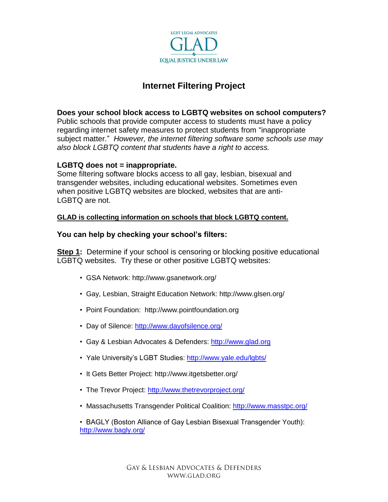

# **Internet Filtering Project**

### **Does your school block access to LGBTQ websites on school computers?**

Public schools that provide computer access to students must have a policy regarding internet safety measures to protect students from "inappropriate subject matter." *However, the internet filtering software some schools use may also block LGBTQ content that students have a right to access.*

#### **LGBTQ does not = inappropriate.**

Some filtering software blocks access to all gay, lesbian, bisexual and transgender websites, including educational websites. Sometimes even when positive LGBTQ websites are blocked, websites that are anti-LGBTQ are not.

#### **GLAD is collecting information on schools that block LGBTQ content.**

#### **You can help by checking your school's filters:**

**Step 1:** Determine if your school is censoring or blocking positive educational LGBTQ websites. Try these or other positive LGBTQ websites:

- GSA Network: http://www.gsanetwork.org/
- Gay, Lesbian, Straight Education Network: http://www.glsen.org/
- Point Foundation: http://www.pointfoundation.org
- Day of Silence: <http://www.dayofsilence.org/>
- Gay & Lesbian Advocates & Defenders: [http://www.glad.org](http://www.glad.org/)
- Yale University's LGBT Studies: <http://www.yale.edu/lgbts/>
- It Gets Better Project: http://www.itgetsbetter.org/
- The Trevor Project:<http://www.thetrevorproject.org/>
- Massachusetts Transgender Political Coalition:<http://www.masstpc.org/>

• BAGLY (Boston Alliance of Gay Lesbian Bisexual Transgender Youth): <http://www.bagly.org/>